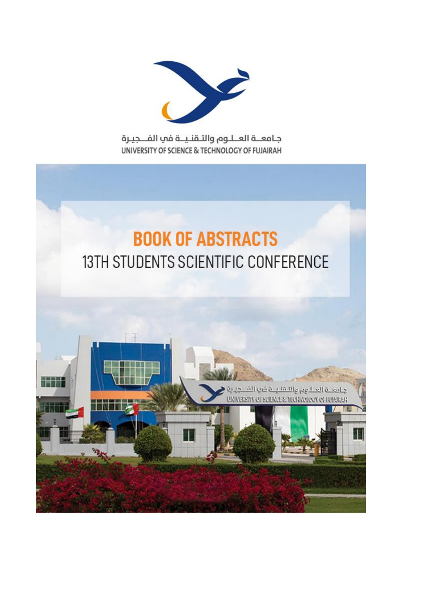

جامعــة العــلـوم والتـقنـيــة في الفــجيـرة UNIVERSITY OF SCIENCE & TECHNOLOGY OF FUJAIRAH

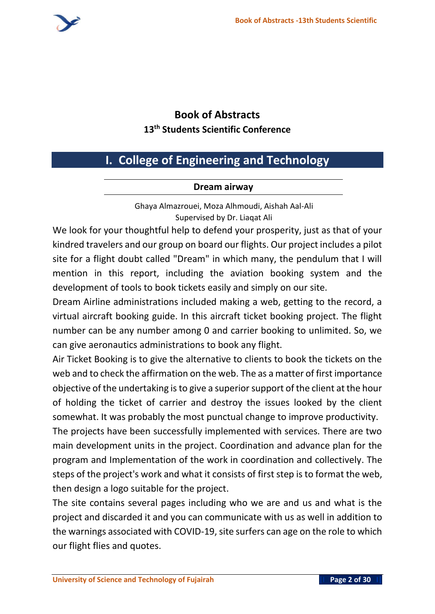

## **Book of Abstracts 13 th Students Scientific Conference**

# **I. College of Engineering and Technology**

#### **Dream airway**

Ghaya Almazrouei, Moza Alhmoudi, Aishah Aal-Ali Supervised by Dr. Liaqat Ali

We look for your thoughtful help to defend your prosperity, just as that of your kindred travelers and our group on board our flights. Our project includes a pilot site for a flight doubt called "Dream" in which many, the pendulum that I will mention in this report, including the aviation booking system and the development of tools to book tickets easily and simply on our site.

Dream Airline administrations included making a web, getting to the record, a virtual aircraft booking guide. In this aircraft ticket booking project. The flight number can be any number among 0 and carrier booking to unlimited. So, we can give aeronautics administrations to book any flight.

Air Ticket Booking is to give the alternative to clients to book the tickets on the web and to check the affirmation on the web. The as a matter of first importance objective of the undertaking is to give a superior support of the client at the hour of holding the ticket of carrier and destroy the issues looked by the client somewhat. It was probably the most punctual change to improve productivity.

The projects have been successfully implemented with services. There are two main development units in the project. Coordination and advance plan for the program and Implementation of the work in coordination and collectively. The steps of the project's work and what it consists of first step is to format the web, then design a logo suitable for the project.

The site contains several pages including who we are and us and what is the project and discarded it and you can communicate with us as well in addition to the warnings associated with COVID-19, site surfers can age on the role to which our flight flies and quotes.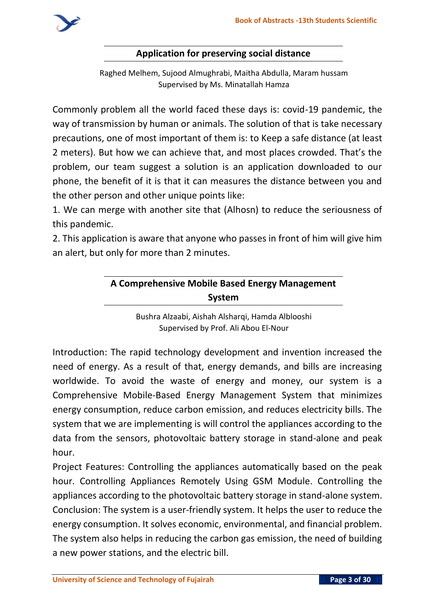

#### **Application for preserving social distance**

Raghed Melhem, Sujood Almughrabi, Maitha Abdulla, Maram hussam Supervised by Ms. Minatallah Hamza

Commonly problem all the world faced these days is: covid-19 pandemic, the way of transmission by human or animals. The solution of that is take necessary precautions, one of most important of them is: to Keep a safe distance (at least 2 meters). But how we can achieve that, and most places crowded. That's the problem, our team suggest a solution is an application downloaded to our phone, the benefit of it is that it can measures the distance between you and the other person and other unique points like:

1. We can merge with another site that (Alhosn) to reduce the seriousness of this pandemic.

2. This application is aware that anyone who passes in front of him will give him an alert, but only for more than 2 minutes.

## **A Comprehensive Mobile Based Energy Management System**

Bushra Alzaabi, Aishah Alsharqi, Hamda Alblooshi Supervised by Prof. Ali Abou El-Nour

Introduction: The rapid technology development and invention increased the need of energy. As a result of that, energy demands, and bills are increasing worldwide. To avoid the waste of energy and money, our system is a Comprehensive Mobile-Based Energy Management System that minimizes energy consumption, reduce carbon emission, and reduces electricity bills. The system that we are implementing is will control the appliances according to the data from the sensors, photovoltaic battery storage in stand-alone and peak hour.

Project Features: Controlling the appliances automatically based on the peak hour. Controlling Appliances Remotely Using GSM Module. Controlling the appliances according to the photovoltaic battery storage in stand-alone system. Conclusion: The system is a user-friendly system. It helps the user to reduce the energy consumption. It solves economic, environmental, and financial problem. The system also helps in reducing the carbon gas emission, the need of building a new power stations, and the electric bill.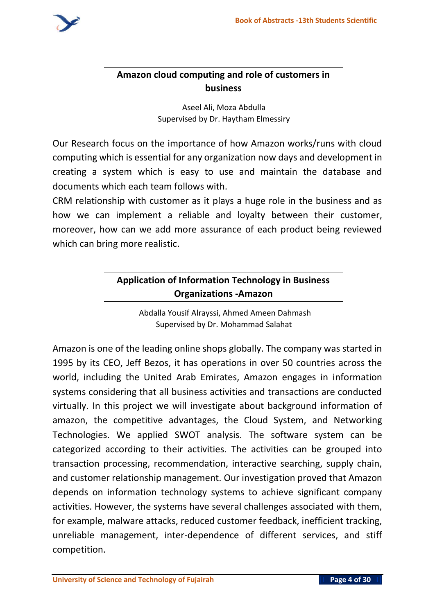

### **Amazon cloud computing and role of customers in business**

Aseel Ali, Moza Abdulla Supervised by Dr. Haytham Elmessiry

Our Research focus on the importance of how Amazon works/runs with cloud computing which is essential for any organization now days and development in creating a system which is easy to use and maintain the database and documents which each team follows with.

CRM relationship with customer as it plays a huge role in the business and as how we can implement a reliable and loyalty between their customer, moreover, how can we add more assurance of each product being reviewed which can bring more realistic.

## **Application of Information Technology in Business Organizations -Amazon**

Abdalla Yousif Alrayssi, Ahmed Ameen Dahmash Supervised by Dr. Mohammad Salahat

Amazon is one of the leading online shops globally. The company was started in 1995 by its CEO, Jeff Bezos, it has operations in over 50 countries across the world, including the United Arab Emirates, Amazon engages in information systems considering that all business activities and transactions are conducted virtually. In this project we will investigate about background information of amazon, the competitive advantages, the Cloud System, and Networking Technologies. We applied SWOT analysis. The software system can be categorized according to their activities. The activities can be grouped into transaction processing, recommendation, interactive searching, supply chain, and customer relationship management. Our investigation proved that Amazon depends on information technology systems to achieve significant company activities. However, the systems have several challenges associated with them, for example, malware attacks, reduced customer feedback, inefficient tracking, unreliable management, inter-dependence of different services, and stiff competition.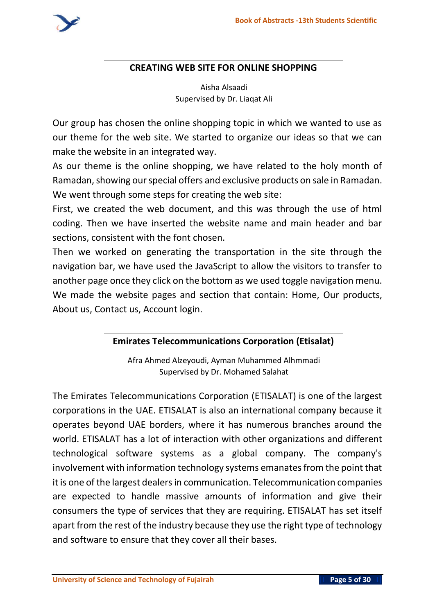#### **CREATING WEB SITE FOR ONLINE SHOPPING**

Aisha Alsaadi Supervised by Dr. Liaqat Ali

Our group has chosen the online shopping topic in which we wanted to use as our theme for the web site. We started to organize our ideas so that we can make the website in an integrated way.

As our theme is the online shopping, we have related to the holy month of Ramadan, showing our special offers and exclusive products on sale in Ramadan. We went through some steps for creating the web site:

First, we created the web document, and this was through the use of html coding. Then we have inserted the website name and main header and bar sections, consistent with the font chosen.

Then we worked on generating the transportation in the site through the navigation bar, we have used the JavaScript to allow the visitors to transfer to another page once they click on the bottom as we used toggle navigation menu. We made the website pages and section that contain: Home, Our products, About us, Contact us, Account login.

### **Emirates Telecommunications Corporation (Etisalat)**

Afra Ahmed Alzeyoudi, Ayman Muhammed Alhmmadi Supervised by Dr. Mohamed Salahat

The Emirates Telecommunications Corporation (ETISALAT) is one of the largest corporations in the UAE. ETISALAT is also an international company because it operates beyond UAE borders, where it has numerous branches around the world. ETISALAT has a lot of interaction with other organizations and different technological software systems as a global company. The company's involvement with information technology systems emanates from the point that it is one of the largest dealers in communication. Telecommunication companies are expected to handle massive amounts of information and give their consumers the type of services that they are requiring. ETISALAT has set itself apart from the rest of the industry because they use the right type of technology and software to ensure that they cover all their bases.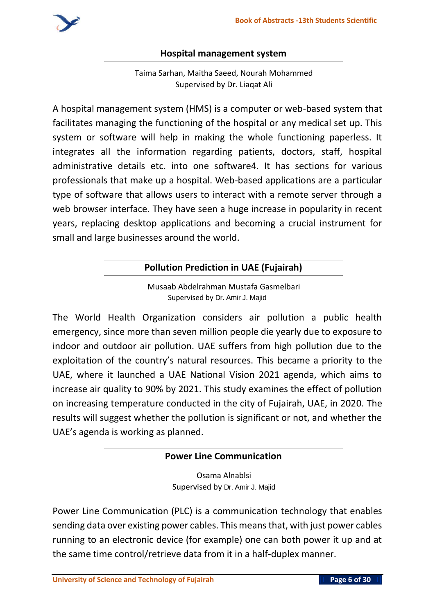

#### **Hospital management system**

Taima Sarhan, Maitha Saeed, Nourah Mohammed Supervised by Dr. Liaqat Ali

A hospital management system (HMS) is a computer or web-based system that facilitates managing the functioning of the hospital or any medical set up. This system or software will help in making the whole functioning paperless. It integrates all the information regarding patients, doctors, staff, hospital administrative details etc. into one software4. It has sections for various professionals that make up a hospital. Web-based applications are a particular type of software that allows users to interact with a remote server through a web browser interface. They have seen a huge increase in popularity in recent years, replacing desktop applications and becoming a crucial instrument for small and large businesses around the world.

#### **Pollution Prediction in UAE (Fujairah)**

Musaab Abdelrahman Mustafa Gasmelbari Supervised by **Dr. Amir J. Majid**

The World Health Organization considers air pollution a public health emergency, since more than seven million people die yearly due to exposure to indoor and outdoor air pollution. UAE suffers from high pollution due to the exploitation of the country's natural resources. This became a priority to the UAE, where it launched a UAE National Vision 2021 agenda, which aims to increase air quality to 90% by 2021. This study examines the effect of pollution on increasing temperature conducted in the city of Fujairah, UAE, in 2020. The results will suggest whether the pollution is significant or not, and whether the UAE's agenda is working as planned.

| <b>Power Line Communication</b> |  |
|---------------------------------|--|
|                                 |  |

Osama Alnablsi Supervised by **Dr. Amir J. Majid**

Power Line Communication (PLC) is a communication technology that enables sending data over existing power cables. This means that, with just power cables running to an electronic device (for example) one can both power it up and at the same time control/retrieve data from it in a half-duplex manner.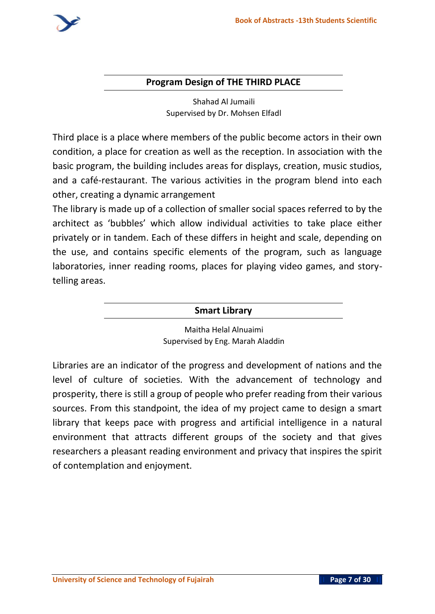

#### **Program Design of THE THIRD PLACE**

Shahad Al Jumaili Supervised by Dr. Mohsen Elfadl

Third place is a place where members of the public become actors in their own condition, a place for creation as well as the reception. In association with the basic program, the building includes areas for displays, creation, music studios, and a café-restaurant. The various activities in the program blend into each other, creating a dynamic arrangement

The library is made up of a collection of smaller social spaces referred to by the architect as 'bubbles' which allow individual activities to take place either privately or in tandem. Each of these differs in height and scale, depending on the use, and contains specific elements of the program, such as language laboratories, inner reading rooms, places for playing video games, and storytelling areas.

#### **Smart Library**

Maitha Helal Alnuaimi Supervised by Eng. Marah Aladdin

Libraries are an indicator of the progress and development of nations and the level of culture of societies. With the advancement of technology and prosperity, there is still a group of people who prefer reading from their various sources. From this standpoint, the idea of my project came to design a smart library that keeps pace with progress and artificial intelligence in a natural environment that attracts different groups of the society and that gives researchers a pleasant reading environment and privacy that inspires the spirit of contemplation and enjoyment.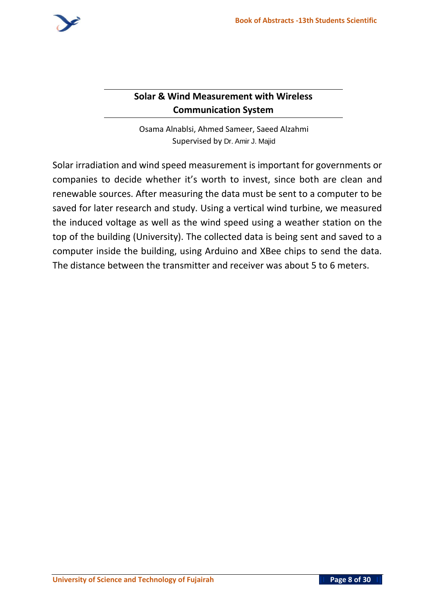

### **Solar & Wind Measurement with Wireless Communication System**

Osama Alnablsi, Ahmed Sameer, Saeed Alzahmi Supervised by **Dr. Amir J. Majid**

Solar irradiation and wind speed measurement is important for governments or companies to decide whether it's worth to invest, since both are clean and renewable sources. After measuring the data must be sent to a computer to be saved for later research and study. Using a vertical wind turbine, we measured the induced voltage as well as the wind speed using a weather station on the top of the building (University). The collected data is being sent and saved to a computer inside the building, using Arduino and XBee chips to send the data. The distance between the transmitter and receiver was about 5 to 6 meters.

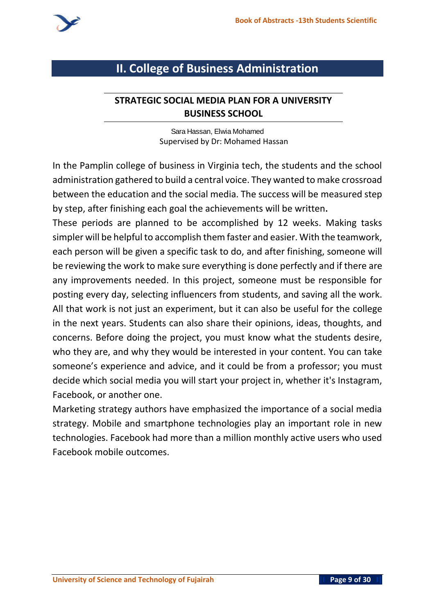

## **II. College of Business Administration**

#### **STRATEGIC SOCIAL MEDIA PLAN FOR A UNIVERSITY BUSINESS SCHOOL**

**Sara Hassan, Elwia Mohamed** Supervised by Dr: Mohamed Hassan

In the Pamplin college of business in Virginia tech, the students and the school administration gathered to build a central voice. They wanted to make crossroad between the education and the social media. The success will be measured step by step, after finishing each goal the achievements will be written**.**

These periods are planned to be accomplished by 12 weeks. Making tasks simpler will be helpful to accomplish them faster and easier. With the teamwork, each person will be given a specific task to do, and after finishing, someone will be reviewing the work to make sure everything is done perfectly and if there are any improvements needed. In this project, someone must be responsible for posting every day, selecting influencers from students, and saving all the work. All that work is not just an experiment, but it can also be useful for the college in the next years. Students can also share their opinions, ideas, thoughts, and concerns. Before doing the project, you must know what the students desire, who they are, and why they would be interested in your content. You can take someone's experience and advice, and it could be from a professor; you must decide which social media you will start your project in, whether it's Instagram, Facebook, or another one.

Marketing strategy authors have emphasized the importance of a social media strategy. Mobile and smartphone technologies play an important role in new technologies. Facebook had more than a million monthly active users who used Facebook mobile outcomes.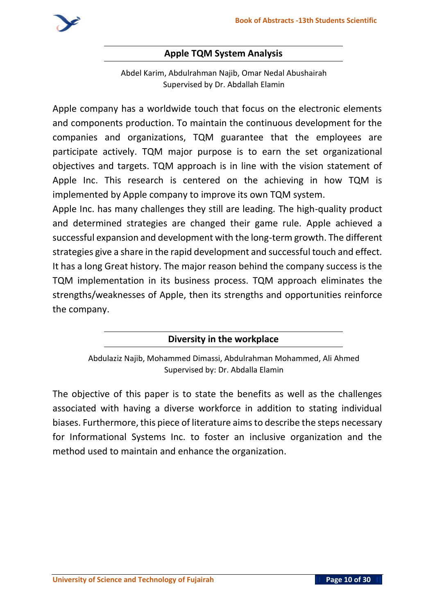

#### **Apple TQM System Analysis**

Abdel Karim, Abdulrahman Najib, Omar Nedal Abushairah Supervised by Dr. Abdallah Elamin

Apple company has a worldwide touch that focus on the electronic elements and components production. To maintain the continuous development for the companies and organizations, TQM guarantee that the employees are participate actively. TQM major purpose is to earn the set organizational objectives and targets. TQM approach is in line with the vision statement of Apple Inc. This research is centered on the achieving in how TQM is implemented by Apple company to improve its own TQM system.

Apple Inc. has many challenges they still are leading. The high-quality product and determined strategies are changed their game rule. Apple achieved a successful expansion and development with the long-term growth. The different strategies give a share in the rapid development and successful touch and effect. It has a long Great history. The major reason behind the company success is the TQM implementation in its business process. TQM approach eliminates the strengths/weaknesses of Apple, then its strengths and opportunities reinforce the company.

#### **Diversity in the workplace**

Abdulaziz Najib, Mohammed Dimassi, Abdulrahman Mohammed, Ali Ahmed Supervised by: Dr. Abdalla Elamin

The objective of this paper is to state the benefits as well as the challenges associated with having a diverse workforce in addition to stating individual biases. Furthermore, this piece of literature aims to describe the steps necessary for Informational Systems Inc. to foster an inclusive organization and the method used to maintain and enhance the organization .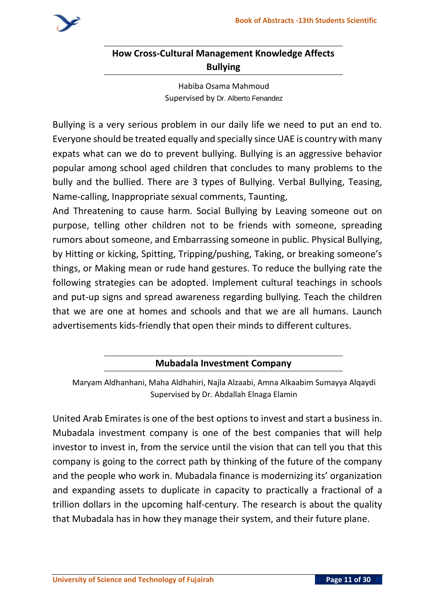

## **How Cross-Cultural Management Knowledge Affects Bullying**

Habiba Osama Mahmoud Supervised by **Dr. Alberto Fenandez**

Bullying is a very serious problem in our daily life we need to put an end to. Everyone should be treated equally and specially since UAE is country with many expats what can we do to prevent bullying. Bullying is an aggressive behavior popular among school aged children that concludes to many problems to the bully and the bullied. There are 3 types of Bullying. Verbal Bullying, Teasing, Name-calling, Inappropriate sexual comments, Taunting,

And Threatening to cause harm. Social Bullying by Leaving someone out on purpose, telling other children not to be friends with someone, spreading rumors about someone, and Embarrassing someone in public. Physical Bullying, by Hitting or kicking, Spitting, Tripping/pushing, Taking, or breaking someone's things, or Making mean or rude hand gestures. To reduce the bullying rate the following strategies can be adopted. Implement cultural teachings in schools and put-up signs and spread awareness regarding bullying. Teach the children that we are one at homes and schools and that we are all humans. Launch advertisements kids-friendly that open their minds to different cultures.

**Mubadala Investment Company**

Maryam Aldhanhani, Maha Aldhahiri, Najla Alzaabi, Amna Alkaabim Sumayya Alqaydi Supervised by Dr. Abdallah Elnaga Elamin

United Arab Emirates is one of the best options to invest and start a business in. Mubadala investment company is one of the best companies that will help investor to invest in, from the service until the vision that can tell you that this company is going to the correct path by thinking of the future of the company and the people who work in. Mubadala finance is modernizing its' organization and expanding assets to duplicate in capacity to practically a fractional of a trillion dollars in the upcoming half-century. The research is about the quality that Mubadala has in how they manage their system, and their future plane.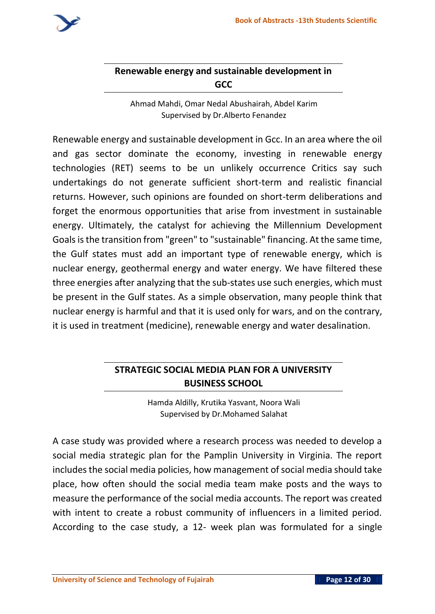

### **Renewable energy and sustainable development in GCC**

Ahmad Mahdi, Omar Nedal Abushairah, Abdel Karim Supervised by Dr.Alberto Fenandez

Renewable energy and sustainable development in Gcc. In an area where the oil and gas sector dominate the economy, investing in renewable energy technologies (RET) seems to be un unlikely occurrence Critics say such undertakings do not generate sufficient short-term and realistic financial returns. However, such opinions are founded on short-term deliberations and forget the enormous opportunities that arise from investment in sustainable energy. Ultimately, the catalyst for achieving the Millennium Development Goals is the transition from "green" to "sustainable" financing. At the same time, the Gulf states must add an important type of renewable energy, which is nuclear energy, geothermal energy and water energy. We have filtered these three energies after analyzing that the sub-states use such energies, which must be present in the Gulf states. As a simple observation, many people think that nuclear energy is harmful and that it is used only for wars, and on the contrary, it is used in treatment (medicine), renewable energy and water desalination.

### **STRATEGIC SOCIAL MEDIA PLAN FOR A UNIVERSITY BUSINESS SCHOOL**

Hamda Aldilly, Krutika Yasvant, Noora Wali Supervised by Dr.Mohamed Salahat

A case study was provided where a research process was needed to develop a social media strategic plan for the Pamplin University in Virginia. The report includes the social media policies, how management of social media should take place, how often should the social media team make posts and the ways to measure the performance of the social media accounts. The report was created with intent to create a robust community of influencers in a limited period. According to the case study, a 12- week plan was formulated for a single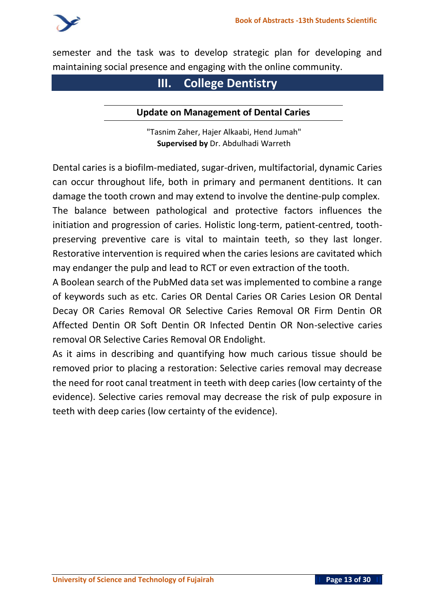

semester and the task was to develop strategic plan for developing and maintaining social presence and engaging with the online community.

## **III. College Dentistry**

#### **Update on Management of Dental Caries**

"Tasnim Zaher, Hajer Alkaabi, Hend Jumah" **Supervised by** Dr. Abdulhadi Warreth

Dental caries is a biofilm-mediated, sugar-driven, multifactorial, dynamic Caries can occur throughout life, both in primary and permanent dentitions. It can damage the tooth crown and may extend to involve the dentine-pulp complex. The balance between pathological and protective factors influences the initiation and progression of caries. Holistic long-term, patient-centred, toothpreserving preventive care is vital to maintain teeth, so they last longer. Restorative intervention is required when the caries lesions are cavitated which may endanger the pulp and lead to RCT or even extraction of the tooth.

A Boolean search of the PubMed data set was implemented to combine a range of keywords such as etc. Caries OR Dental Caries OR Caries Lesion OR Dental Decay OR Caries Removal OR Selective Caries Removal OR Firm Dentin OR Affected Dentin OR Soft Dentin OR Infected Dentin OR Non-selective caries removal OR Selective Caries Removal OR Endolight.

As it aims in describing and quantifying how much carious tissue should be removed prior to placing a restoration: Selective caries removal may decrease the need for root canal treatment in teeth with deep caries (low certainty of the evidence). Selective caries removal may decrease the risk of pulp exposure in teeth with deep caries (low certainty of the evidence).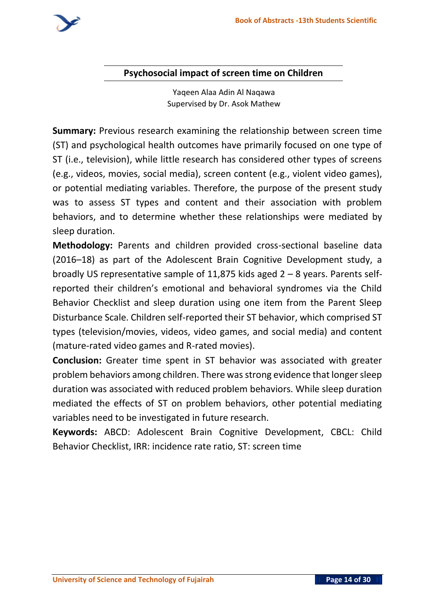#### **Psychosocial impact of screen time on Children**

Yaqeen Alaa Adin Al Naqawa Supervised by Dr. Asok Mathew

**Summary:** Previous research examining the relationship between screen time (ST) and psychological health outcomes have primarily focused on one type of ST (i.e., television), while little research has considered other types of screens (e.g., videos, movies, social media), screen content (e.g., violent video games), or potential mediating variables. Therefore, the purpose of the present study was to assess ST types and content and their association with problem behaviors, and to determine whether these relationships were mediated by sleep duration.

**Methodology:** Parents and children provided cross-sectional baseline data (2016–18) as part of the Adolescent Brain Cognitive Development study, a broadly US representative sample of 11,875 kids aged  $2 - 8$  years. Parents selfreported their children's emotional and behavioral syndromes via the Child Behavior Checklist and sleep duration using one item from the Parent Sleep Disturbance Scale. Children self-reported their ST behavior, which comprised ST types (television/movies, videos, video games, and social media) and content (mature-rated video games and R-rated movies).

**Conclusion:** Greater time spent in ST behavior was associated with greater problem behaviors among children. There was strong evidence that longer sleep duration was associated with reduced problem behaviors. While sleep duration mediated the effects of ST on problem behaviors, other potential mediating variables need to be investigated in future research.

**Keywords:** ABCD: Adolescent Brain Cognitive Development, CBCL: Child Behavior Checklist, IRR: incidence rate ratio, ST: screen time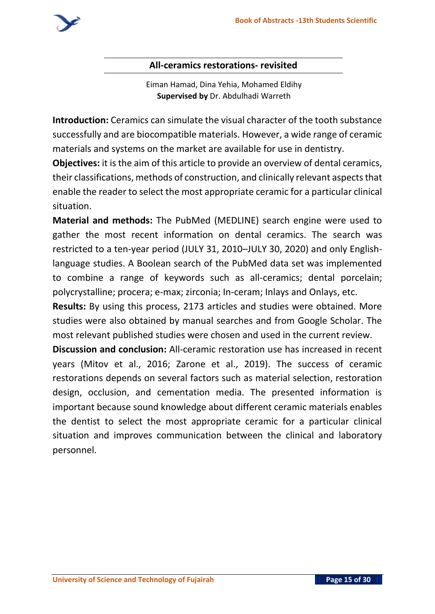

#### **All-ceramics restorations- revisited**

Eiman Hamad, Dina Yehia, Mohamed Eldihy **Supervised by** Dr. Abdulhadi Warreth

**Introduction:** Ceramics can simulate the visual character of the tooth substance successfully and are biocompatible materials. However, a wide range of ceramic materials and systems on the market are available for use in dentistry.

**Objectives:** it is the aim of this article to provide an overview of dental ceramics, their classifications, methods of construction, and clinically relevant aspects that enable the reader to select the most appropriate ceramic for a particular clinical situation.

**Material and methods:** The PubMed (MEDLINE) search engine were used to gather the most recent information on dental ceramics. The search was restricted to a ten-year period (JULY 31, 2010–JULY 30, 2020) and only Englishlanguage studies. A Boolean search of the PubMed data set was implemented to combine a range of keywords such as all-ceramics; dental porcelain; polycrystalline; procera; e-max; zirconia; In-ceram; Inlays and Onlays, etc.

**Results:** By using this process, 2173 articles and studies were obtained. More studies were also obtained by manual searches and from Google Scholar. The most relevant published studies were chosen and used in the current review.

**Discussion and conclusion:** All-ceramic restoration use has increased in recent years (Mitov et al., 2016; Zarone et al., 2019). The success of ceramic restorations depends on several factors such as material selection, restoration design, occlusion, and cementation media. The presented information is important because sound knowledge about different ceramic materials enables the dentist to select the most appropriate ceramic for a particular clinical situation and improves communication between the clinical and laboratory personnel. **Glass-based ceramics**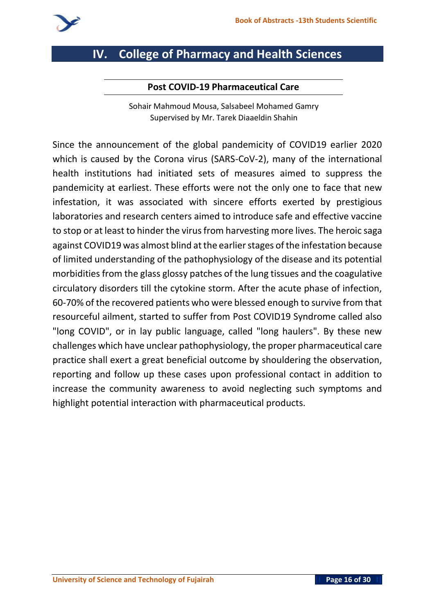

# **IV. College of Pharmacy and Health Sciences**

#### **Post COVID-19 Pharmaceutical Care**

Sohair Mahmoud Mousa, Salsabeel Mohamed Gamry Supervised by Mr. Tarek Diaaeldin Shahin

Since the announcement of the global pandemicity of COVID19 earlier 2020 which is caused by the Corona virus (SARS-CoV-2), many of the international health institutions had initiated sets of measures aimed to suppress the pandemicity at earliest. These efforts were not the only one to face that new infestation, it was associated with sincere efforts exerted by prestigious laboratories and research centers aimed to introduce safe and effective vaccine to stop or at least to hinder the virus from harvesting more lives. The heroic saga against COVID19 was almost blind at the earlier stages of the infestation because of limited understanding of the pathophysiology of the disease and its potential morbidities from the glass glossy patches of the lung tissues and the coagulative circulatory disorders till the cytokine storm. After the acute phase of infection, 60-70% of the recovered patients who were blessed enough to survive from that resourceful ailment, started to suffer from Post COVID19 Syndrome called also "long COVID", or in lay public language, called "long haulers". By these new challenges which have unclear pathophysiology, the proper pharmaceutical care practice shall exert a great beneficial outcome by shouldering the observation, reporting and follow up these cases upon professional contact in addition to increase the community awareness to avoid neglecting such symptoms and highlight potential interaction with pharmaceutical products.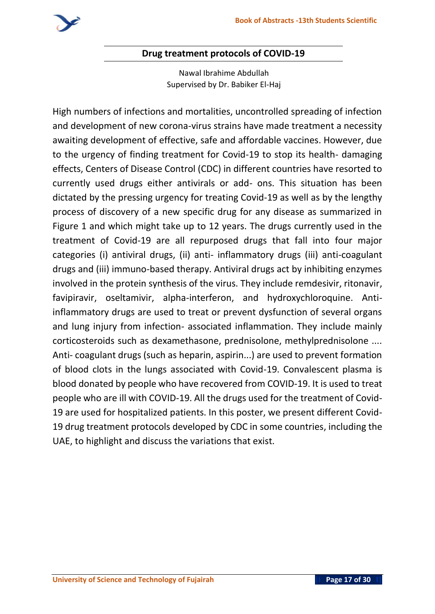

#### **Drug treatment protocols of COVID-19**

Nawal Ibrahime Abdullah Supervised by Dr. Babiker El-Haj

High numbers of infections and mortalities, uncontrolled spreading of infection and development of new corona-virus strains have made treatment a necessity awaiting development of effective, safe and affordable vaccines. However, due to the urgency of finding treatment for Covid-19 to stop its health- damaging effects, Centers of Disease Control (CDC) in different countries have resorted to currently used drugs either antivirals or add- ons. This situation has been dictated by the pressing urgency for treating Covid-19 as well as by the lengthy process of discovery of a new specific drug for any disease as summarized in Figure 1 and which might take up to 12 years. The drugs currently used in the treatment of Covid-19 are all repurposed drugs that fall into four major categories (i) antiviral drugs, (ii) anti- inflammatory drugs (iii) anti-coagulant drugs and (iii) immuno-based therapy. Antiviral drugs act by inhibiting enzymes involved in the protein synthesis of the virus. They include remdesivir, ritonavir, favipiravir, oseltamivir, alpha-interferon, and hydroxychloroquine. Antiinflammatory drugs are used to treat or prevent dysfunction of several organs and lung injury from infection- associated inflammation. They include mainly corticosteroids such as dexamethasone, prednisolone, methylprednisolone .... Anti- coagulant drugs (such as heparin, aspirin...) are used to prevent formation of blood clots in the lungs associated with Covid-19. Convalescent plasma is blood donated by people who have recovered from COVID-19. It is used to treat people who are ill with COVID-19. All the drugs used for the treatment of Covid-19 are used for hospitalized patients. In this poster, we present different Covid-19 drug treatment protocols developed by CDC in some countries, including the UAE, to highlight and discuss the variations that exist.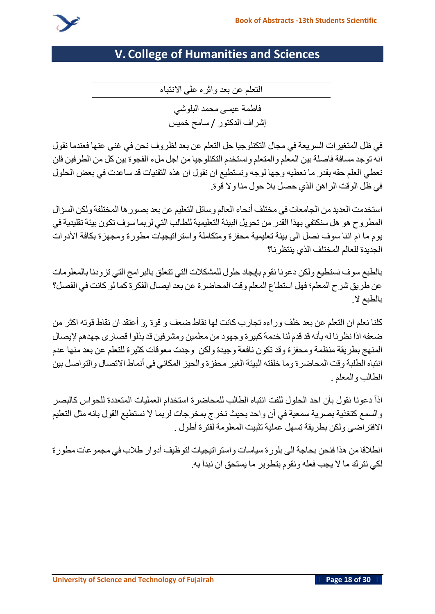

# **V. College of Humanities and Sciences**

**التعلم عن بعد واثره على االنتباه** 

**فاطمة عيسى محمد البلوشي إشراف الدكتور** / **سامح خميس**

**في ظل المتغيرات السريعة في مجال التكنلوجيا حل التعلم عن بعد لظروف نحن في غنى عنها فعندما نقول انه توجد مسافة فاصلة بين المعلم والمتعلم ونستخدم التكنلوجيا من اجل ملء الفجوة بين كل من الطرفين فلن نعطي العلم حقه بقدر ما نعطيه وجها لوجه ونستطيع ان نقول ان هذه التقنيات قد ساعدت في بعض الحلول في ظل الوقت الراهن الذي حصل بال حول منا وال قوة**.

**استخدمت العديدمن الجامعات في مختلف أنحاء العالم وسائل التعليم عن بعد بصورها المختلفة ولكن السؤال المطروح هو هل سنكتفي بهذا القدر من تحويل البيئة التعليمية للطالب التي لربما سوف تكون بيئة تقليدية في يوم ما ام اننا سوف نصل الى بيئة تعليمية محفزة ومتكاملة واستراتيجيات مطورة ومجهزة بكافة األدوات الجديدة للعالم المختلف الذي ينتظرنا؟** 

**بالطبع سوف نستطيع ولكن دعونا نقوم بإيجاد حلول للمشكالت التي تتعلق بالبرامج التي تزودنا بالمعلومات عن طريق شرح المعلم؛ فهل استطاع المعلم وقت المحاضرة عن بعد ايصال الفكرة كما لو كانت في الفصل؟ بالطبع ال**.

**كلنا نعلم ان التعلم عن بعد خلف وراءه تجارب كانت لها نقاط ضعف و قوة** ,**و أعتقد ان نقاط قوته اكثر من ضعفه اذا نظرنا له بأنه قد قدم لنا خدمةكبيرة وجهود من معلمين ومشرفين قد بذلوا قصارى جهدهم إليصال المنهج بطريقة من ظمة ومحفزة وقد تكون نافعة وجيدة ولكن وجدت معوقات كثيرة للتعلم عن بعد منها عدم انتباه الطلبة وقت المحاضرة وما خلفته البيئة الغير محفزة والحيز المكاني في أنماط االتصال والتواصل بين الطالب والمعلم** .

**اذا دعونا نقول بأن احد الحلول للفت انتباه الطالب للمحاضرة استخدام العمليات المتعددة للحواس كالبصر والسمع كتغذية بصرية سمعية في آن واحد بحيث نخرج بمخرجات لربما ال نستطيع القول بانه مثل التعليم االفتراضي ولكن بطريقة تسهل عملية تثبيت المعلومة لفترة أطول** .

**انطالقا من هذا فنحن بحاجة الى بلورة سياسات واستراتيجيات لتوظيف أدوار طالب في مجموعات مطورة لكي نترك ما ال يجب فعله ونقوم بتطوير ما يستحق ان نبدأ به**.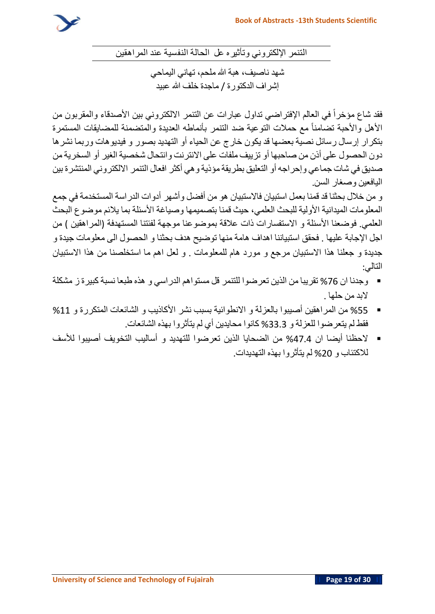

**التنمر اإللكتروني وتأثيره عل الحالة النفسية عند المراهقين** 

**شهد ناصيف، هبة هللا ملحم، تهاني اليماحي إشراف الدكتورة** / **ماجدة خلف هللا عبيد** 

**فقد شاع مؤخرا في العالم اإلفتراضي تداول عبارات عن التنمر االلكتروني بين األصدقاء والمقربون من**  الأهل والأحبة تضامناً مع حملات التوعية ضد التنمر بأنماطه العديدة والمتضمنة للمضايقات المستمرة **بتكرار إرسال رسائل نصية بعضها قد يكون خارج عن الحياء أو التهديد بصور و فيديوهات وربما نشرها دون الحصول على أذن من صاحبها أو تزييف ملفات على االنترنت وانتحال شخصية الغير أو السخرية من صديق في شات جماعي وإحراجه أو التعليق بطريقة مؤذية وهي أكثر افعال التنمر االلكتروني المنتشرة بين اليافعين وصغار السن** .

**و من خالل بحثنا قد قمنا بعمل استبيان فاالستبيان هو من أفضل وأشهر أدوات الدراسة المستخدمة في جمع المعلومات الميدانية األولية للبحث العلمي، حيث قمنا بتصميمها وصياغة األسئلة بما يالئم موضوع البحث العلمي**. **فوضعنا األسئلة و االستفسارات ذات عالقة بموضوعنا موجهة لفئتنا المستهدفة** )**المراهقين** ( **من اجل اإلجابة عليها** . **فحقق استبياننا اهداف هامة منها توضيح هدف بحثنا و الحصول الى معلومات جيدة و جديدة و جعلنا هذا االستبيان مرجع و مورد هام للمعلومات** . **و لعل اهم ما استخلصنا من هذا االستبيان التالي**:

- **وجدنا ان** %76 **تقريبا من الذين تعرضوا للتنمر قل مستواهم الدراسي و هذه طبعا نسبة كبيرة ز مشكلة البد من حلها** .
- %55 **من المراهقين أصيبوا بالعزلة و االنطوائية بسبب نشر األكاذيب و الشائعات المتكررة و** %11 **فقط لم يتعرضوا للعزلة و** %33.3 **كانوا محايدين أي لم يتأثروا بهذه الشائعات** .
- **الحظنا أيضا ان** %47.4 **من الضحايا الذين تعرضوا للتهديد و أساليب التخويف أصيبوا لألسف لالكتئاب و** %20 **لم يتأثروا بهذه التهديدات** .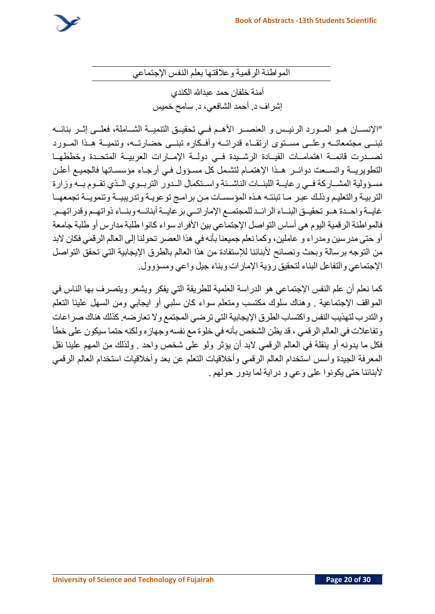**المواطنة الرقمية وعالقتها بعلم النفس اإلجتماعي**

**أمنة خلفان حمد عبدهللا الكندي إشراف د** . **أحمد الشافعي، د** . **سامح خميس** 

"**اإلنســان هــو المــورد الرئيــس و العنصــر األهــم فــي تحقيــق التنميــة الشــاملة، فعلــى إثــر بنائــه تبنــى مجتمعاتــه وعلــى مســتوى ارتقــاء قدراتــه وأفــكاره تبنــى حضارتــه، وتنميــة هــذا المــورد تصــدرت قائمــة اهتمامــات القيــادة الرشــيدة فــي دولــة اإلمــارات العربيــة المتحــدة وخططهــا التطويريــة واتســعت دوائــر هــذا اإلهتمـام لتشـمل كل مسـؤول فـي أرجـاء مؤسسـاتها فالجميـع أعلـن مسـؤولية المشــاركة فــي رعايــة اللبنــات الناشــئة واســتكمال الــدور التربــوي الــذي تقــوم بــه وزارة التربيـة والتعليـم وذلـك عبـر مـا تبنتـه هـذه المؤسسـات مـن برامـج توعويـة وتدريبيــة وتنمويــة تجمعهــا غايــة واحــدة هــو تحقيــق البنــاء الرائــد للمجتمــع اإلماراتــي برعايــةأبنائــه وبنــاء ذواتهــم وقدراتهــم** . **فالمواطنة الرقمية اليوم هي أساس التواصل اإلجتماعي بين األفراد سواء كانوا طلبة مدارس أو طلبة جامعة**  أو حتى مدرسين ومدراء و عاملين، وكما نعلم جميعنا بأنه في هذا العصر تحولنا إلى العالم الرقمي فكان لابد **من التوجه برسالة وبحث ونصائح ألبنائنا لإلستفادة من هذا العالم بالطرق اإليجابية التي تحقق التواصل اإلجتماعي والتفاعل البناء لتحقيق رؤية اإلمارات وبناء جيل واعي ومسؤوول**.

**كما نعلم أن علم النفس اإلجتماعي هو الدراسة العلمية للطريقة التي يفكر ويشعر ويتصرف بها الناس في المواقف اإلجتماعية** . **وهناك سلوك مكتسب ومتعلم سواء كان سلبي أو ايجابي ومن السهل علينا التعلم والتدرب لتهذيب النفس واكتساب الطرق اإليجابية التي ترضي المجتمع وال تعارضه** .**كذلك هناك صراعات وتفاعالت في العالم الرقمي ، قد يظن الشخص بأنه في خلوة مع نفسه وجهازه ولكنه حتما سيكون على خطأ فكل ما يدونه أو ينقله في العالم الرقمي البد أن يؤثر ولو على شخص واحد** . **ولذلك من المهم علينا نقل المعرفة الجيدة وأسس استخدام العالم الرقمي وأخالقيات التعلم عن بعد وأخالقيات استخدام العالم الرقمي ألبنائنا حتى يكونوا على وعي و دراية لما يدور حولهم** .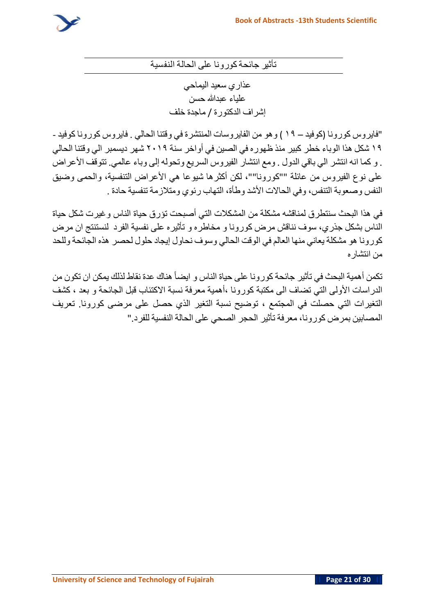

**تأثير جائحةكورونا على الحالة النفسية**

**عذاري سعيد اليماحي علياء عبدهللا حسن إشراف الدكتورة** / **ماجدة خلف**

"**فايروس كورونا** )**كوفيد** – **١٩** ( **وهو من الفايروسات المنتشرة في وقتنا الحالي** . **فايروس كورونا كوفيد** - **١٩ شكل هذا الوباء خطر كبير منذ ظهوره في الصين في أواخر سنة ٢٠١٩ شهر ديسمبر الي وقتنا الحالي**  . **و كما انه انتشر الي باقي الدول** . **ومع انتشار الفيروس السريع وتحوله إلى وباء عالمي**. **تتوقف األعراض على نوع الفيروس من عائلة** ""**كورونا**""**، لكن أكثرها شيوعا هي األعراض التنفسية، والحمى وضيق النفس وصعوبة التنفس، وفي الحاالت األشد وطأة، التهاب رئوي ومتالزمة تنفسية حادة** .

**في هذا البحث سنتطرق لمناقشه مشكلة من المشكالت التي أصبحت تؤر ق حياة الناس وغيرت شكل حياة الناس بشكل جذري، سوف نناقش مرض كورونا و مخاطره و تأثيره على نفسية الفرد لنستنتج ان مرض كورونا هو مشكلة يعاني منها العالم في الوقت الحالي وسوف نحاول إيجاد حلول لحصر هذه الجائحة وللحد من انتشاره** 

**ايضا هناك عدة نقاط لذلك يمكن ان تكون من تكمن أهمية البحث في تأثير جائحة كورونا على حياة الناس و الدراسات األولى التي تضاف الى مكتبة كورونا ،أهمية معرفة نسبة االكتئاب قبل الجائحة و بعد ، كشف التغيرات التي حصلت في المجتمع ، توضيح نسبة التغير الذي حصل على مرضى كورونا**. **تعريف المصابين بمرض كور ونا، معرفة تأثير الحجر الصحي على الحالة النفسية للفرد** ."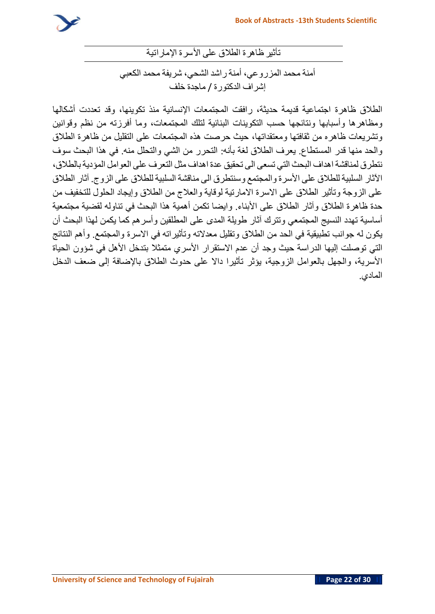

**تأثير ظاهرة الطالق على األسرة اإلماراتية** 

**أمنة محمد المزروعي، أمنة راشد الشحي، شريفة محمد الكعبي إشراف الدكتورة** / **ماجدة خلف**

**الطالق ظاهرة اجتماعية قديمة حديثة، رافقت المجتمعات اإلنسانية منذ تكوينها، وقد تعددت أشكالها ومظاهرها وأسبابها ونتائجها حسب التكوينات البنائية لتلك المجتمعات، وما أفرزته من نظم وقوانين وتشريعات ظاهره من ثقافتها ومعتقداتها، حيث حرصت هذه المجتمعات على التقليل من ظاهرة الطالق والحد منها قدر المستطاع**. **يعرف الطالق لغة بأنه**: **التحرر من الشي والتحلل منه** . **في هذا البحث سوف نتطرق لمناقشة اهداف البحث التي تسعى الى تحقيق عدة اهداف مثل التعرف على العوامل المؤدية بالطالق، اآلثار السلبية للطالق على األسرة والمجتمع وسنتطرق الى مناقشة السلبية للطالق على الزوج**. **آثار الطالق على الزوجة وتأثير الطالق على االسرة االمارتية لوقاية والعالج من الطالق وإيجاد الحلول للتخفيف من حدة ظاهرة الطالق وآثار الطالق على األبناء** . **وايضا تكمن أهمية هذا البحث في تناوله لقضية مجتمعية أساسية تهدد النسيج المجتمعي وتترك آثار طويلة المدى على المطلقين وأسرهم كما يكمن لهذا البحث أن يكون له جوانب تطبيقية في الحد من الطالق وتقليل معدالته وتأثيراته في االسرة والمجتمع**. **وأهم النتائج التي توصلت إليها الدراسة حيث وجد أن عدم االستقرار األسري متمثال بتدخل األهل في شؤون الحياة األسرية، والجهل بالعوامل الزوجية، يؤثر تأثيرا داال على حدوث الطالق باإلضافة إلى ضعف الدخل المادي**.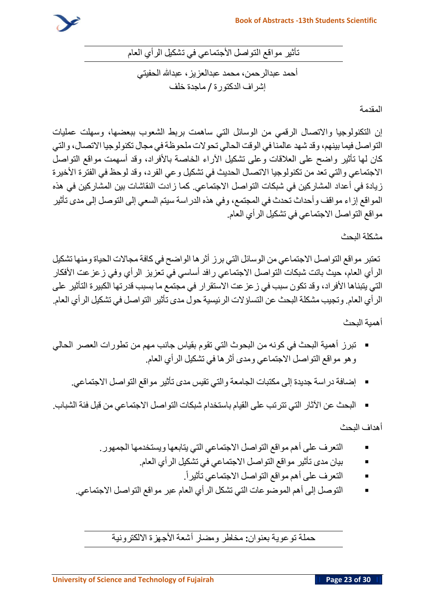

**تأثير مواقع التواصل األجتماعي في تشكيل الرأي العام** 

**أحمد عبدالرحمن، محمد عبدالعزيز، عبدهللا الحفيتي إشراف الدكتورة** / **ماجدة خلف**

**المقدمة**

**إن التكنولوجيا واالتصال الرقمي من الوسائل التي ساهمت بربط الشعوب ببعضها، وسهلت عمليات التواصل فيما بينهم، وقد شهد عالمنا في الوقت الحالي تحوالت ملحوظةفي مجال تكنولوجيا االتصال، والتي كان لها تأثير واضح على العالقات وعلى تشكيل اآلراء الخاصة باألفراد، وقد أسهمت مواقع التواصل االجتماعي والتي تعد من تكنولوجيا االتصال الحديث في تشكيل وعي الفرد، وقد لوحظ في الفترة األخيرة زيادة في أعداد المشاركين في شبكات التواصل االجتماعي** . **كما زادت النقاشات بين المشاركين في هذه المواقع إزاء مواقف وأحداث تحدث في المجتمع، وفي هذه الدراسة سيتم السعي إلى التوصل إلى مدى تأثير مواقع التواصل االجتماعي في تشكيل الرأي العام**.

#### **مشكلة البحث**

**تعتبر مواقع التواصل االجتماعي من الوسائل التي برز أثرها الواضح في كافة مجاالت الحياة ومنها تشكيل الرأي العام، حيث باتت شبكات التواصل االجتماعي رافد أساسي في تعزيز الرأي وفي زعزعت األفكار التي يتبناها األفراد، وقد تكون سبب في زعزعت االستقرار في مجتمع ما بسبب قدرتها الكبيرة التأثير على الرأي العام**. **وتجيب مشكلة البحث عن التساؤالت الرئيسية حول مدى تأثير التواصل في تشكيل الرأي العام** .

**أهمية البحث** 

- **تبرز أهمية البحث في كونه من البحوث التي تقوم بقياس جانب مهم من تطورات العصر الحالي وهو مواقع التواصل االجتماعي ومدى أثرها في تشكيل الرأي العام**.
	- **إضافة دراسة جديدة إلى مكتبات الجامعة والتي تقيس مدى تأثير مواقع التواصل االجتماعي**.
- **البحث عن اآلثار التي تترتب على القيام باستخدام شبكات التواصل االجتماعي من قبل فئة الشباب** .

**أهداف البحث** 

- **التعرف على أهم مواقع التواصل االجتماعي التي يتابعها ويستخدمها الجمهور**.
	- **بيان مدى تأثير مواقع التواصل االجتماعي في تشكيل الرأي العام**.
		- . **التعرف على أهم مواقع التواصل االجتماعي تأثيرا**
- **التوصل إلى أهم الموضوعات التي تشكل الرأي العام عبر مواقع التواصل االجتماعي**.

**حملة توعوية بعنوان: مخاطر ومضار أشعة األجهزة االلكترونية**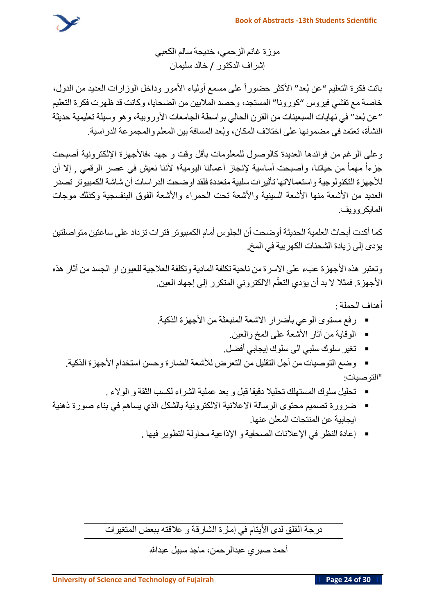

**موزة غانم الزحمي، خديجة سالم الكعبي إشراف الدكتور** / **خالد سليمان** 

**حضورا على مسمع أولياء األمور وداخل الوزارات العديد من الدول، باتت فكرة التعليم** "**عن ب عد**" **األكثر خاصة مع تفشي فيروس** "**كورونا**" **المستجد، وحصد الماليين من الضحايا، وكانت قد ظهرت فكرة التعليم**  "**عن ب عد**" **في نهايات السبعينات من القرن الحالي بواسطة الجامعات األوروبية، وهو وسيلة تعليمية حديثة النشأة، تعتمد في مضمونها على اختالف المكان، وب عد المسافة بين المعلم والمجموعة الدراسية**.

**وعلى الرغم من فوائدها العديدة كالوصول للمعلومات بأقل وقت و جهد ،فاألجهزة اإللكترونية أصبحت جزءا مهما من حياتنا، وأصبحت أساسية إلنجاز أعمالنا اليومية؛ ألننا نعيش في عصر الرقمي** , **إال أن لألجهزة التكنولوجية واستعماالتها تأثيرات سلبية متعددة فلقد اوضحت الدراسات أن شاشة الكمبيوتر تصدر العديد من األشعة منها األشعة السينية واألشعة تحت الحمراء واألشعة الفوق البنفسجية وكذلك موجات المايكروويف** .

**كما أكدت أبحاث العلمية الحديثة أوضحت أن الجلوس أمام الكمبيوتر فترات تزداد على ساعتين متواصلتين يؤدى إلى زيادة الشحنات الكهربية في المخ** .

**وتعتبر هذه األجهزة عبء على االسرة من ناحية تكلفة المادية وتكلفة العالجية للعيون او الجسد من آثار هذه ّاألجهزة**. **فمثال ال بد أن يؤدي م التعل االلكتروني المتكرر إلى إجهاد العين**.

**أهداف الحملة** :

- **رفع مستوى الوعي بأضرار االشعة المنبعثة من األجهزة الذكية**.
	- **الوقاية من آثار األشعة على المخ والعين**.
	- **تغير سلوك سلبي الى سلوك إيجابي أفضل**.
- **وضع التوصيات من أجل التقليل من التعرض لألشعة الضارة وحسن استخدام األجهزة الذكية**. "**التوصيات** :
	- **تحليل سلوك المستهلك تحليال دقيقا قبل و بعد عملية الشراء لكسب الثقة و الوالء** .
- ضرورة تصميم محتوى الرسالة الاعلانية الالكترونية بالشكل الذي يساهم في بناء صورة ذهنية **ايجابية عن المنتجات المعلن عنها** .
	- **إعادة النظر في اإلعالنات الصحفية و اإلذاعية محاولة التطوير فيها** .

**درجة القلق لدى األيتام في إمارة الشارقة و عالقته ببعض المتغيرات** 

**أحمد صبري عبدالرحمن، ماجد سبيل عبدهللا**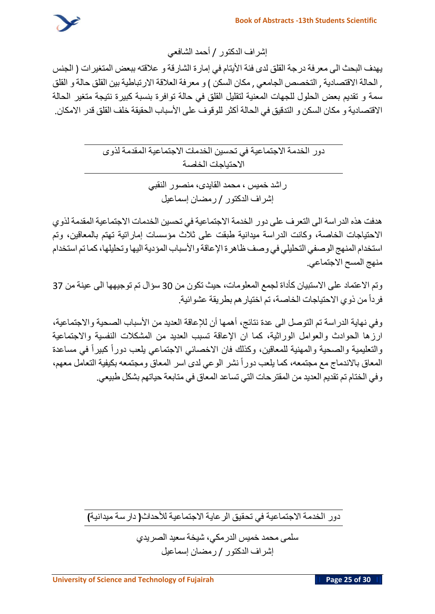

**إشراف الدكتور** / **أحمد الشافعي**

**يهدف البحث الى معرفة درجة القلق لدى فئة األيتام في إمارة الشارقة و عالقته ببعض المتغيرات** ) **الجنس** , **الحالة االقتصادية** , **التخصص الجامعي** , **مكان السكن** ( **و معرفة العالقة االرتباطية بين القلق حالة و القلق سمة و تقديم بعض الحلول للجهات المعنية لتقليل القلق في حالة توافرة بنسبة كبيرة نتيجة متغير الحالة االقتصادية و مكان السكن و التدقيق في الحالة أكثر للوقوف على األسباب الحقيقة خلف القلق قدر االمكان**.

> **دور الخدمة االجتماعية في تحسين الخدمات االجتماعية المقدمة لذوى االحتياجات الخاصة**

> > **راشد خميس ، محمد القايدى ، منصور النقب ي إشراف الدكتور** / **رمضان إسماعيل**

**هدفت هذه الدراسة الى التعرف على دور الخدمة االجتماعية في تحسين الخدمات االجتماعية المقدمة لذوي االحتياجات الخاصة، وكانت الدراسة ميدانية طبقت على ثالث مؤسسات إماراتية تهتم بالمعاقين، وتم استخدام المنهج الوصفي التحليلي في وصف ظاهرة اإلعاقة واألسباب المؤديةاليها وتحليلها،كما تم استخدام منهج المسح االجتماعي** .

**وتم االعتماد على االستبيان كأداة لجمع المعلومات، حيث تكون من** 30 **سؤال تم توجيهها الى عينة من** 37 **فردا من ذوي االحتياجات الخاصة، تم اختيارهم بطريقة عشوائية** .

**وفي نهاية الدراسة تم التوصل الى عدة نتائج، أهمها أن لإلعاقة العديد من األسباب الصحية واالجتماعية، ارزها الحوادث والعوامل الوراثية، كما ان اإلعاقة تسبب العديد من المشكالت النفسية واالجتماعية والتعليمية والصحية والمهنية للمعاقين، وكذلك فان االخصائي االجتماعي يلعب دورا كبيرا في مساعدة** المعاق بالاندماج مع مجتمعه، كما يلعب دوراً نشر الوعي لدى اسر المعاق ومجتمعه بكيفية التعامل معهم، **وفي الختام تم تقديم العديد من المقترحات التي تساعد المعاق في متابعة حياتهم بشكل طبيعي**.

**دور الخدمة االجتماعية في تحقيق الرعاية االجتماعية لألحداث) دارسة ميدانية(**

**سلمى محمد خميس الدرمكي، شيخة سعيد الصريدي إشراف الدكتور** / **رمضان إسماعيل**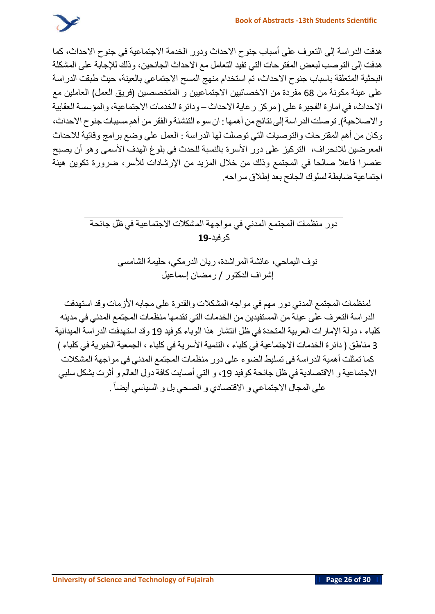

**هدفت الدراسة إلى التعرف على أسباب جنوح االحداث ودور الخدمة االجتماعية في جنوح االحداث، كما هدفت إلى التوصب لبعض المقترحات التي تفيد التعامل مع االحداث الجانحين، وذلك لإلجابة على المشكلة البحثية المتعلقة باسباب جنوح االحداث، تم استخدام منهج المسح االجتماعي بالعينة، حيث طبقت الدراسة على عينة مكونة من** 68 **مفردة من االخصائيين االجتماعيين و المتخصصين** )**فريق العمل**( **العاملين مع االحداث، في امارة الفجيرة على** ) **مركز رعاية االحداث** – **ودائرة الخدمات االجتماعية، والمؤسسة العقابية واالصالحية**(. **توصلت الدراسةإلى نتائج من أهمها** : **ان سوء التنشئة والفقر من أهممسببات جنوح االحداث، وكان من أهم المقترحات والتوصيات التي توصلت لها الدراسة** : **العمل علي وضع برامج وقائية لالحداث المعرضين لالنحراف، التركيز على دور األسرة بالنسبة للحدث في بلوغ الهدف األسمى وهو أن يصبح عنصرا فاعال صالحا في المجتمع وذلك من خالل المزيد من اإلرشادات لألسر، ضرورة تكوين هيئة اجتماعية ضابطة لسلوك الجانح بعد إطالق سراحه**.

> **دور منظمات المجتمع المدني في مواجهة المشكالت االجتماعية في ظل جائحة كوفيد19-**

> > **نوف اليماحي، عائشة المراشدة، ريان الدرمكي، حليمة الشامسي إشراف الدكتور** / **رمضان إسماعيل**

**لمنظمات المجتمع المدني دور مهم في مواجه المشكالت والقدرة على مجابه األزمات وقد استهدفت الدراسة التعرف على عينة من المستفيدين من الخدمات التي تقدمها منظمات المجتمع المدني في مدينه كلباء ، دولة اإلمارات العربية المتحدة في ظل انتشار هذا الوباء كوفيد** 19 **وقد استهدفت الدراسة الميدانية** 3 **مناطق** ) **دائرة الخدمات االجتماعية في كلباء ، التنمية األسرية في كلباء ، الجمعية الخيرية في كلباء** ( **كما تمثلت أهمية الدراسة في تسليط الضوء على دور منظمات المجتمع المدني في مواجهة المشكالت االجتماعية و االقتصاد ية في ظل جائحة كوفيد ،**19 **و التي أصابت كافة دول العالم و أثرت بشكل سلبي** . **على المجال االجتماعي و االقتصادي و الصحي بل و السياسي أيضا**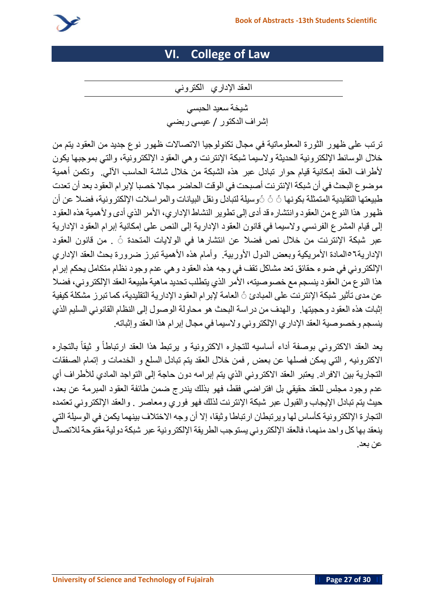

# **VI. College of Law**

**العقد اإلداري الكتروني** 

**شيخة سعيد الحبسي إشراف الدكتور** / **عيسى ربضي** 

**ترتب على ظه ور الثورة المعلوماتية في مجال تكنول وجيا االتصاالت ظهور ن وع جد يد من العقود يت م م ن خالل الوسائط ا إللكترو نية الحد يثة والسيما شبكة اإلنتر ن ت وهي العق ود اإللكترونية، والتي بموجبها يكون ألطراف العقد إمكانية قيام حوار تبادل عبر هذه الشبكة من خالل شاشة الحاسب اآللي**. **وتكمن أهمية موضوع البحث في أن شبكة اإلنترنت أصبحت في الوق ت الحاضر مجاال خصبا إلب رام العقود بعد أن تعدت طبيعتها التقليد ية المتمثلة بك و نها ً ً ًوسيلة لتبادل و نق ل البيانات والمراسالت اإللكترو نية، فضال ع ن أن ظهور هذا النوع من العق ود وانتشاره قد أدى إلى تطو ير النشاط اإلداري، األمر الذي أدى و ألهمية هذه العقود إلى قيام المشرع الفرنسي والسيما في قانون العقود اإلدارية إلى النص على إمكانية إبرام العقود اإلدارية عبر شبكة اإلنتر نت من خالل نص فضال عن انتشا رها في الواليات المتحدة ً** . **من قانون العقود اإلدارية٥٦المادة األمريكية وبعض الدول األوربية** . **وأمام هذه األهمية تبرز ضرورة بحث العقد اإلداري اإللكترو ني في ض وء حقائ ق تعد مشاكل تقف في وجه هذه العقود وهي عدم وج ود نظ ام متكامل يحكم إبرام هذا النوع من العقود ينسج م مع خصوصيته، األمر الذي يت طلب تحد يد ماهية طبيعة العق د اإللكتروني، فضال عن مدى تأثير شبكة اإلنترن ت على المبادئ ً العامة إلبرام العقود اإلدارية التقليد ية، كما تبرز مشكلة كيفية إثبات هذه العق ود وحجيتها**. **والهدف من دراسة البحث هو محا ولة الوص ول إلى الن ظا م القان و ني السلي م الذي ينسج م وخصوصية العقد اإلداري اإللكترو ني و السيما في مجال إبرام هذا العقد وإثباته** .

**ارتباطا و يعد العقد االكتروني بوصفة أداء أساسيه للتجاره االكترونية و يرتبط هذا العقد ثيقا بالتجاره االكترونيه** , **التي يمكن فصلها عن بعض** , **فمن خالل العقد يتم تبادل السلع و الخدمات و إتمام الصفقات التجارية بين االفراد** . **يعتبر العقد االكتروني الذي يتم إبرامه دون حاجة إلى التواجد المادي لألطراف أي عدم وجود مجلس للعقد حقيقي بل افتراضي فقط، فهو بذلك يندرج ضمن طائفة العقود المبرمة عن بعد، حيث يتم تبادل اإليجاب والقبول عبر شبكة اإلنترنت لذلك فهو فوري ومعاصر** . **والعقد اإللكتروني تعتمده التجارة اإللكترونية كأساس لها ويرتبطان ارتباطا وثيقا، إال أن وجه االختالف بينهما يكمن في الوسيلة التي ينعقد بهاكل واحد منهما، فالعقد اإللكتروني يستوجب الطريقة اإللكترونية عبر شبكة دولية مفتوحة لالتصال عن بعد** .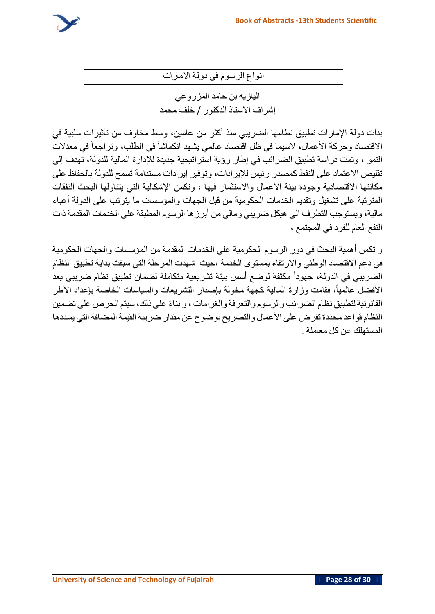

**انواع الرسوم في دولة االمارات**

**اليازيه بن حامد المزروعي إشراف االستاذ الدكتور** / **خلف محمد**

**بدأت دولة اإلمارات تطبيق نظامها الضريبي منذ أكثر من عامين، وسط مخاوف من تأثيرات سلبية في انكماشا في الطلب، االقتصاد وحركة األعمال، السيما في ظل اقتصاد عالمي يشهد وتراجعا في معدالت النمو ، وتمت دراسة تطبيق الضرائب في إطار رؤية استراتيجية جديدة لإلدارة المالية للدولة، تهدف إلى تقليص االعتماد على النفط كمصدر رئيس لإليرادات، وتوفير إيرادات مستدامة تسمح للدولة بالحفاظ على مكانتها االقتصادية وجودة بيئة األعمال واالستثمار فيها ، وتكمن اإلشكالية التي يتناولها البحث النفقات المترتبة على تشغيل وتقديم الخدمات الحكومية من قبل الجهات والمؤسسات ما يترتب على الدولة أعباء مالية، ويستوجب التطرف الى هيكل ضريبي ومالي من أبرزها الرسوم المطبقة على الخدمات المقدمة ذات النفع العام للفرد في المجتمع ،**

**و تكمن أهمية البحث في دور الرسوم الحكومية على الخدمات المقدمة من المؤسسات والجهات الحكومية في دعم االقتصاد الوطني واالرتقاء بمستوى الخدمة ،حيث شهدت المرحلة التي سبقت بداية تطبيق النظام جهودا مكثفة لوضع أسس بيئة تشريعية متكاملة لضمان تطبيق نظام ضريبي يعد الضريبي في الدولة،** الأفضل عالمياً، فقامت وزارة المالية كجهة مخولة بإصدار التشريعات والسياسات الخاصة بإعداد الأطر **بنا ء على ذلك، سيتم الحرص على تضمين القانونيةلتطبيق نظام الضرائب والرسوم والتعرفة والغرامات ، و النظام قواعد محددة تفرض على األعمال والتصريح بوضوح عن مقدار ضريبة القيمةالمضافةالتي يسددها المستهلك عن كل معاملة** .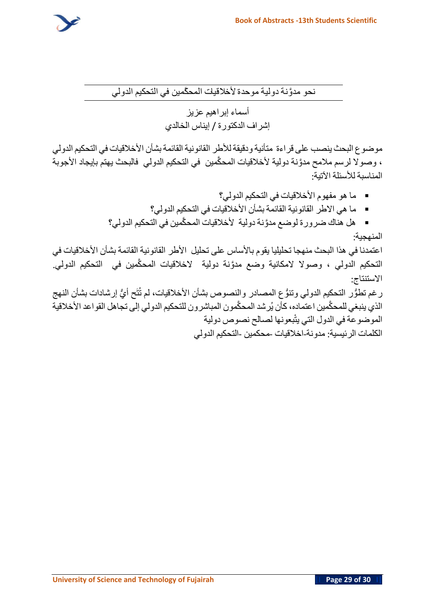

**نحو مدَّونة دولية موحدة ألخالقيات المح َّكمين في التحكيم الدولي** 

**أسماء إبراهيم عزيز إشراف الدكتورة** / **إيناس الخالدي**

**موضوع البحث ينصب على قراءة متأنية ودقيقةلألطر القانونيةالقائمة بشأن األخالقيات في التحكيم الدولي ، وصوال لرسم مالمح مدَّونة دولية ألخالقيات المح َّكمين في التحكيم الدولي فالبحث يهتم بإيجاد األجوبة المناسبة لألسئلة اآلتية**:

- **ما هو مفهوم األخالقيات في التحكيم الدولي؟** ▪ **ما هي االطر القانونية القائمة بشأن األخالقيات في التحكيم الدولي؟**
- **هل هناك ضرورة لوضع مدَّونة دولية ألخالقيات المح َّكمين في التحكيم الدولي؟ المنهجية**:

**اعتمدنا في هذا البحث منهجا تحليليا يقوم باألساس على تحليل األطر القانونية القائمة بشأن األخالقيات في**  التحكيم الدولي ، وصولا لامكانية وضع مدوَّنة دولية لاخلاقيات المحكَّمين في التحكيم الدولي. **االستنتاج**:

**ُّي إرشادات بشأن النهج رغم تطُّور التحكيم الدولي وتنُّوع المصادر والنصوص بشأن األخالقيات، لم ت تَح أ ح َّك اعتماده، كأن ي رشد المح َّكمون المباشرون للتحكيم الدولي إلى تجاهل القواعد األخالقية الذي ينبغي للم مين يتْ لصالح نصوص دولية الموضوعة في الدول التي بعونها الكلمات الرئيسية**: **مدونة**-**اخالقيات** -**محكمين** -**التحكيم الدولي**